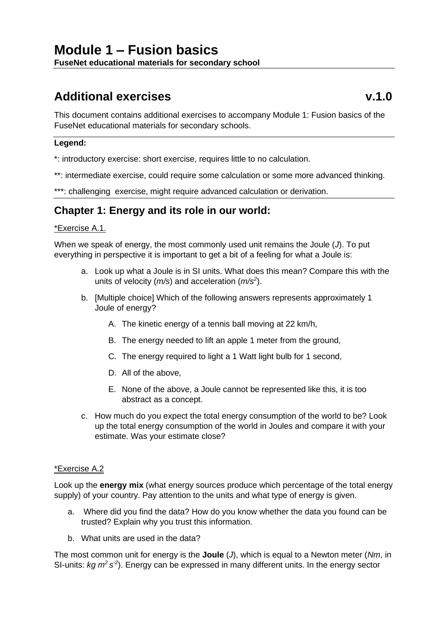# **Additional exercises v.1.0**

This document contains additional exercises to accompany Module 1: Fusion basics of the FuseNet educational materials for secondary schools.

### **Legend:**

\*: introductory exercise: short exercise, requires little to no calculation.

\*\*: intermediate exercise, could require some calculation or some more advanced thinking.

\*\*\*: challenging exercise, might require advanced calculation or derivation.

# **Chapter 1: Energy and its role in our world:**

### \*Exercise A.1.

When we speak of energy, the most commonly used unit remains the Joule (*J*). To put everything in perspective it is important to get a bit of a feeling for what a Joule is:

- a. Look up what a Joule is in SI units. What does this mean? Compare this with the units of velocity (*m/s*) and acceleration (*m/s<sup>2</sup>* ).
- b. [Multiple choice] Which of the following answers represents approximately 1 Joule of energy?
	- A. The kinetic energy of a tennis ball moving at 22 km/h,
	- B. The energy needed to lift an apple 1 meter from the ground,
	- C. The energy required to light a 1 Watt light bulb for 1 second,
	- D. All of the above,
	- E. None of the above, a Joule cannot be represented like this, it is too abstract as a concept.
- c. How much do you expect the total energy consumption of the world to be? Look up the total energy consumption of the world in Joules and compare it with your estimate. Was your estimate close?

### \*Exercise A.2

Look up the **energy mix** (what energy sources produce which percentage of the total energy supply) of your country. Pay attention to the units and what type of energy is given.

- a. Where did you find the data? How do you know whether the data you found can be trusted? Explain why you trust this information.
- b. What units are used in the data?

The most common unit for energy is the **Joule** (*J*), which is equal to a Newton meter (*Nm*, in SI-units: kg  $m^2 s^2$ ). Energy can be expressed in many different units. In the energy sector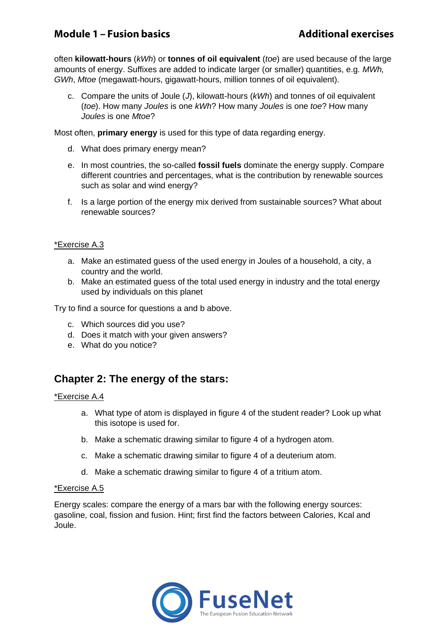# **Module 1 - Fusion basics**

often **kilowatt-hours** (*kWh*) or **tonnes of oil equivalent** (*toe*) are used because of the large amounts of energy. Suffixes are added to indicate larger (or smaller) quantities, e.g. *MWh, GWh, Mtoe* (megawatt-hours, gigawatt-hours, million tonnes of oil equivalent).

c. Compare the units of Joule (*J*), kilowatt-hours (*kWh*) and tonnes of oil equivalent (*toe*). How many *Joules* is one *kWh*? How many *Joules* is one *toe*? How many *Joules* is one *Mtoe*?

Most often, **primary energy** is used for this type of data regarding energy.

- d. What does primary energy mean?
- e. In most countries, the so-called **fossil fuels** dominate the energy supply. Compare different countries and percentages, what is the contribution by renewable sources such as solar and wind energy?
- f. Is a large portion of the energy mix derived from sustainable sources? What about renewable sources?

### \*Exercise A.3

- a. Make an estimated guess of the used energy in Joules of a household, a city, a country and the world.
- b. Make an estimated guess of the total used energy in industry and the total energy used by individuals on this planet

Try to find a source for questions a and b above.

- c. Which sources did you use?
- d. Does it match with your given answers?
- e. What do you notice?

### **Chapter 2: The energy of the stars:**

### \*Exercise A.4

- a. What type of atom is displayed in figure 4 of the student reader? Look up what this isotope is used for.
- b. Make a schematic drawing similar to figure 4 of a hydrogen atom.
- c. Make a schematic drawing similar to figure 4 of a deuterium atom.
- d. Make a schematic drawing similar to figure 4 of a tritium atom.

### \*Exercise A.5

Energy scales: compare the energy of a mars bar with the following energy sources: gasoline, coal, fission and fusion. Hint; first find the factors between Calories, Kcal and Joule.

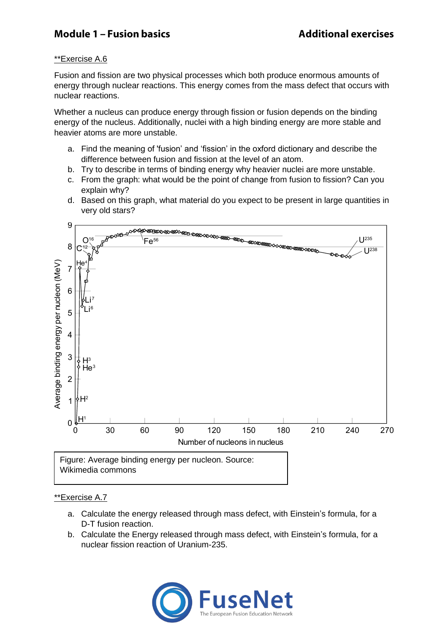# **Module 1 - Fusion basics**

### \*\*Exercise A.6

Fusion and fission are two physical processes which both produce enormous amounts of energy through nuclear reactions. This energy comes from the mass defect that occurs with nuclear reactions.

Whether a nucleus can produce energy through fission or fusion depends on the binding energy of the nucleus. Additionally, nuclei with a high binding energy are more stable and heavier atoms are more unstable.

- a. Find the meaning of 'fusion' and 'fission' in the oxford dictionary and describe the difference between fusion and fission at the level of an atom.
- b. Try to describe in terms of binding energy why heavier nuclei are more unstable.
- c. From the graph: what would be the point of change from fusion to fission? Can you explain why?
- d. Based on this graph, what material do you expect to be present in large quantities in very old stars?



### \*\*Exercise A.7

- a. Calculate the energy released through mass defect, with Einstein's formula, for a D-T fusion reaction.
- b. Calculate the Energy released through mass defect, with Einstein's formula, for a nuclear fission reaction of Uranium-235.